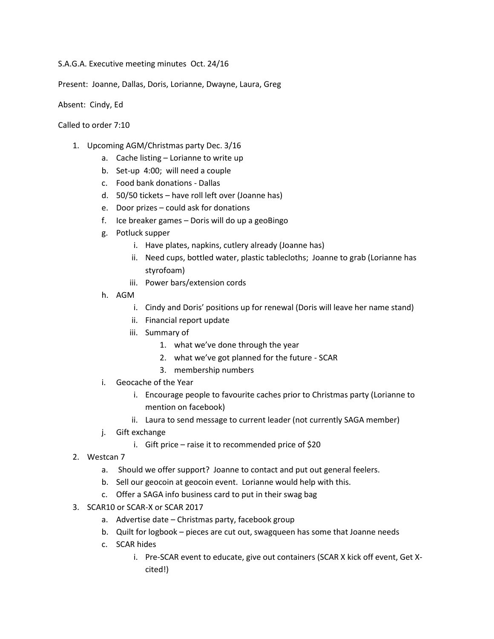S.A.G.A. Executive meeting minutes Oct. 24/16

Present: Joanne, Dallas, Doris, Lorianne, Dwayne, Laura, Greg

Absent: Cindy, Ed

Called to order 7:10

- 1. Upcoming AGM/Christmas party Dec. 3/16
	- a. Cache listing Lorianne to write up
	- b. Set-up 4:00; will need a couple
	- c. Food bank donations Dallas
	- d. 50/50 tickets have roll left over (Joanne has)
	- e. Door prizes could ask for donations
	- f. Ice breaker games Doris will do up a geoBingo
	- g. Potluck supper
		- i. Have plates, napkins, cutlery already (Joanne has)
		- ii. Need cups, bottled water, plastic tablecloths; Joanne to grab (Lorianne has styrofoam)
		- iii. Power bars/extension cords
	- h. AGM
		- i. Cindy and Doris' positions up for renewal (Doris will leave her name stand)
		- ii. Financial report update
		- iii. Summary of
			- 1. what we've done through the year
			- 2. what we've got planned for the future SCAR
			- 3. membership numbers
	- i. Geocache of the Year
		- i. Encourage people to favourite caches prior to Christmas party (Lorianne to mention on facebook)
		- ii. Laura to send message to current leader (not currently SAGA member)
	- j. Gift exchange
		- i. Gift price raise it to recommended price of \$20
- 2. Westcan 7
	- a. Should we offer support? Joanne to contact and put out general feelers.
	- b. Sell our geocoin at geocoin event. Lorianne would help with this.
	- c. Offer a SAGA info business card to put in their swag bag
- 3. SCAR10 or SCAR-X or SCAR 2017
	- a. Advertise date Christmas party, facebook group
	- b. Quilt for logbook pieces are cut out, swagqueen has some that Joanne needs
	- c. SCAR hides
		- i. Pre-SCAR event to educate, give out containers (SCAR X kick off event, Get Xcited!)